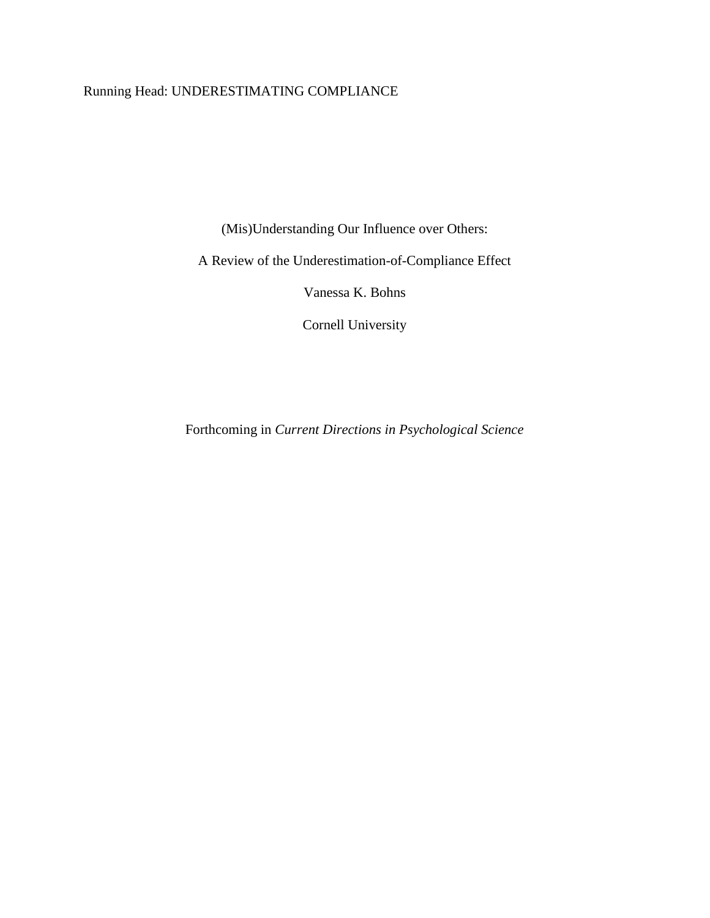# Running Head: UNDERESTIMATING COMPLIANCE

(Mis)Understanding Our Influence over Others:

A Review of the Underestimation-of-Compliance Effect

Vanessa K. Bohns

Cornell University

Forthcoming in *Current Directions in Psychological Science*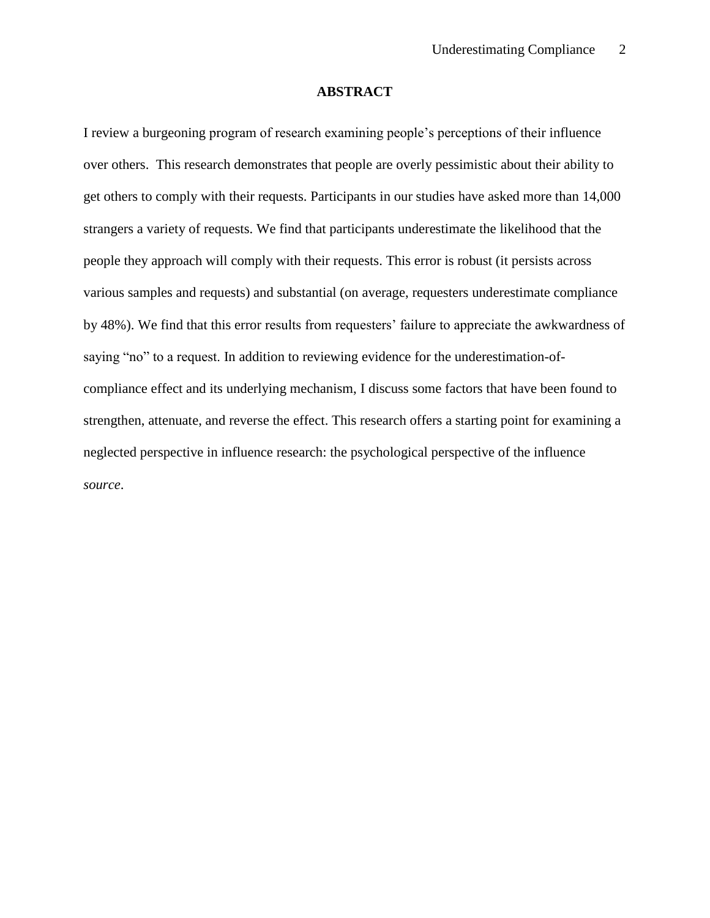# **ABSTRACT**

I review a burgeoning program of research examining people's perceptions of their influence over others. This research demonstrates that people are overly pessimistic about their ability to get others to comply with their requests. Participants in our studies have asked more than 14,000 strangers a variety of requests. We find that participants underestimate the likelihood that the people they approach will comply with their requests. This error is robust (it persists across various samples and requests) and substantial (on average, requesters underestimate compliance by 48%). We find that this error results from requesters' failure to appreciate the awkwardness of saying "no" to a request. In addition to reviewing evidence for the underestimation-ofcompliance effect and its underlying mechanism, I discuss some factors that have been found to strengthen, attenuate, and reverse the effect. This research offers a starting point for examining a neglected perspective in influence research: the psychological perspective of the influence *source*.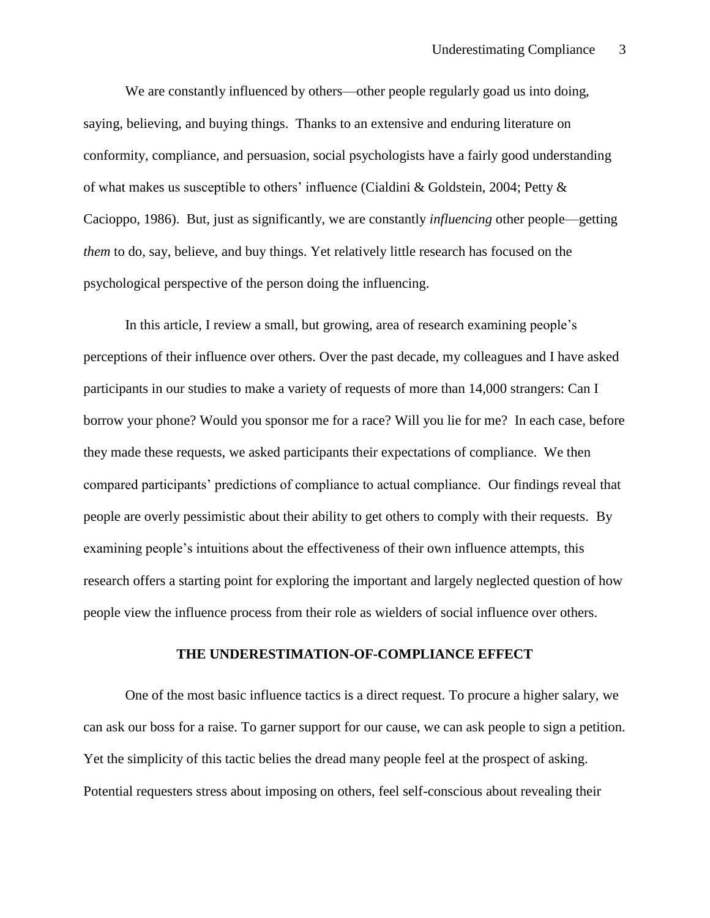We are constantly influenced by others—other people regularly goad us into doing, saying, believing, and buying things. Thanks to an extensive and enduring literature on conformity, compliance, and persuasion, social psychologists have a fairly good understanding of what makes us susceptible to others' influence (Cialdini & Goldstein, 2004; Petty & Cacioppo, 1986). But, just as significantly, we are constantly *influencing* other people—getting *them* to do, say, believe, and buy things. Yet relatively little research has focused on the psychological perspective of the person doing the influencing.

In this article, I review a small, but growing, area of research examining people's perceptions of their influence over others. Over the past decade, my colleagues and I have asked participants in our studies to make a variety of requests of more than 14,000 strangers: Can I borrow your phone? Would you sponsor me for a race? Will you lie for me? In each case, before they made these requests, we asked participants their expectations of compliance. We then compared participants' predictions of compliance to actual compliance. Our findings reveal that people are overly pessimistic about their ability to get others to comply with their requests. By examining people's intuitions about the effectiveness of their own influence attempts, this research offers a starting point for exploring the important and largely neglected question of how people view the influence process from their role as wielders of social influence over others.

# **THE UNDERESTIMATION-OF-COMPLIANCE EFFECT**

One of the most basic influence tactics is a direct request. To procure a higher salary, we can ask our boss for a raise. To garner support for our cause, we can ask people to sign a petition. Yet the simplicity of this tactic belies the dread many people feel at the prospect of asking. Potential requesters stress about imposing on others, feel self-conscious about revealing their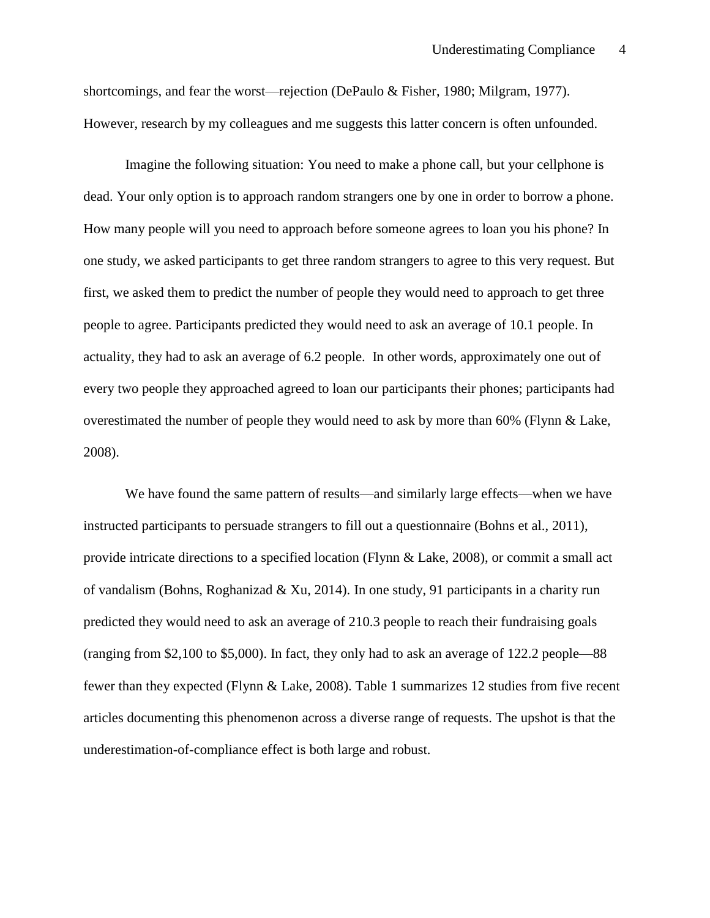shortcomings, and fear the worst—rejection (DePaulo & Fisher, 1980; Milgram, 1977). However, research by my colleagues and me suggests this latter concern is often unfounded.

Imagine the following situation: You need to make a phone call, but your cellphone is dead. Your only option is to approach random strangers one by one in order to borrow a phone. How many people will you need to approach before someone agrees to loan you his phone? In one study, we asked participants to get three random strangers to agree to this very request. But first, we asked them to predict the number of people they would need to approach to get three people to agree. Participants predicted they would need to ask an average of 10.1 people. In actuality, they had to ask an average of 6.2 people. In other words, approximately one out of every two people they approached agreed to loan our participants their phones; participants had overestimated the number of people they would need to ask by more than 60% (Flynn & Lake, 2008).

We have found the same pattern of results—and similarly large effects—when we have instructed participants to persuade strangers to fill out a questionnaire (Bohns et al., 2011), provide intricate directions to a specified location (Flynn & Lake, 2008), or commit a small act of vandalism (Bohns, Roghanizad & Xu, 2014). In one study, 91 participants in a charity run predicted they would need to ask an average of 210.3 people to reach their fundraising goals (ranging from \$2,100 to \$5,000). In fact, they only had to ask an average of 122.2 people—88 fewer than they expected (Flynn & Lake, 2008). Table 1 summarizes 12 studies from five recent articles documenting this phenomenon across a diverse range of requests. The upshot is that the underestimation-of-compliance effect is both large and robust.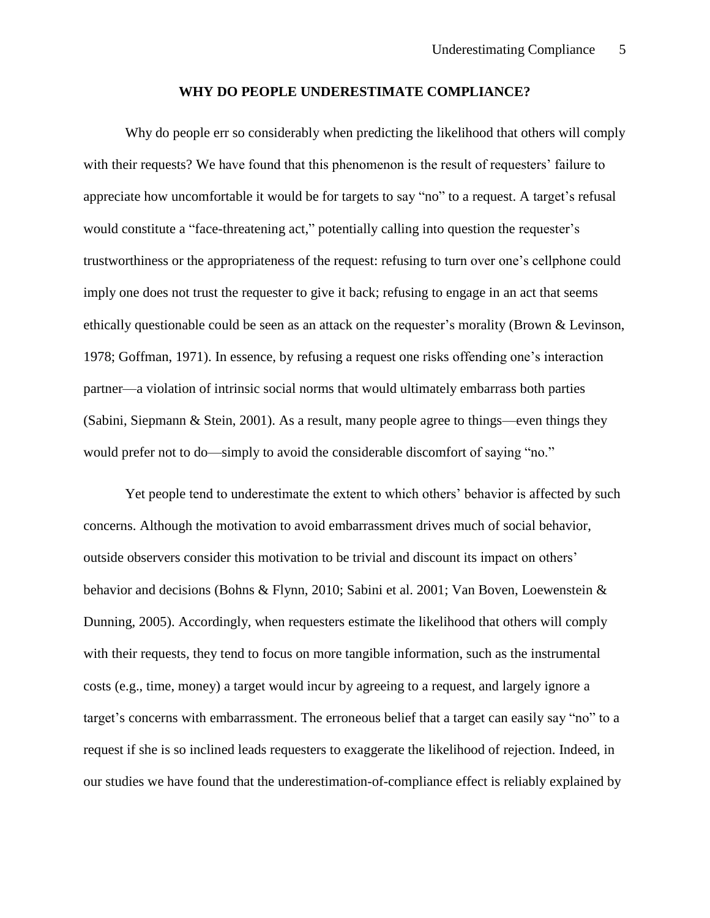#### **WHY DO PEOPLE UNDERESTIMATE COMPLIANCE?**

Why do people err so considerably when predicting the likelihood that others will comply with their requests? We have found that this phenomenon is the result of requesters' failure to appreciate how uncomfortable it would be for targets to say "no" to a request. A target's refusal would constitute a "face-threatening act," potentially calling into question the requester's trustworthiness or the appropriateness of the request: refusing to turn over one's cellphone could imply one does not trust the requester to give it back; refusing to engage in an act that seems ethically questionable could be seen as an attack on the requester's morality (Brown & Levinson, 1978; Goffman, 1971). In essence, by refusing a request one risks offending one's interaction partner—a violation of intrinsic social norms that would ultimately embarrass both parties (Sabini, Siepmann & Stein, 2001). As a result, many people agree to things—even things they would prefer not to do—simply to avoid the considerable discomfort of saying "no."

Yet people tend to underestimate the extent to which others' behavior is affected by such concerns. Although the motivation to avoid embarrassment drives much of social behavior, outside observers consider this motivation to be trivial and discount its impact on others' behavior and decisions (Bohns & Flynn, 2010; Sabini et al. 2001; Van Boven, Loewenstein & Dunning, 2005). Accordingly, when requesters estimate the likelihood that others will comply with their requests, they tend to focus on more tangible information, such as the instrumental costs (e.g., time, money) a target would incur by agreeing to a request, and largely ignore a target's concerns with embarrassment. The erroneous belief that a target can easily say "no" to a request if she is so inclined leads requesters to exaggerate the likelihood of rejection. Indeed, in our studies we have found that the underestimation-of-compliance effect is reliably explained by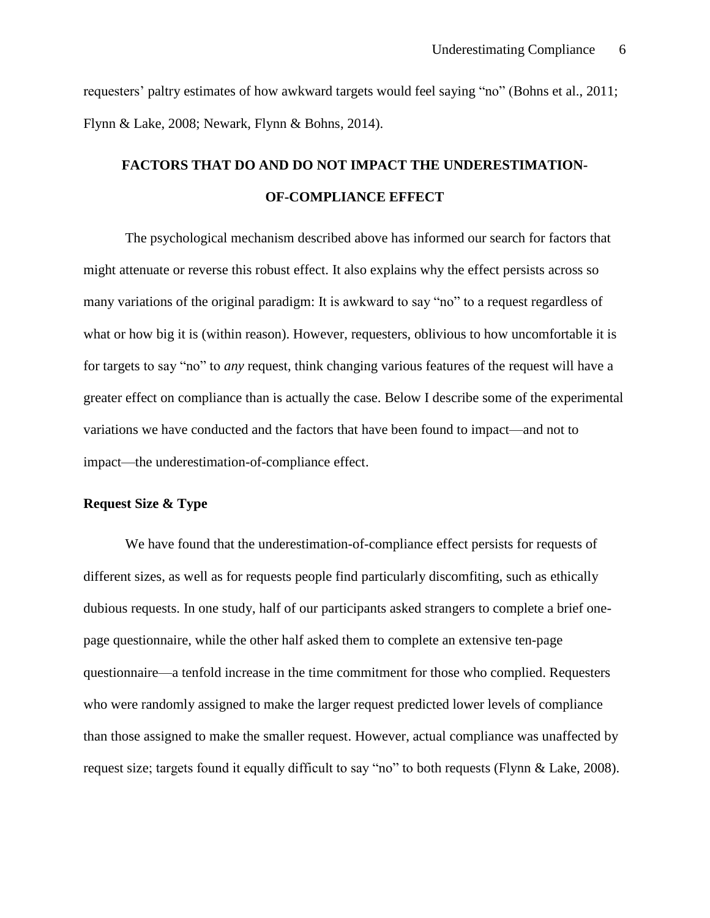requesters' paltry estimates of how awkward targets would feel saying "no" (Bohns et al., 2011; Flynn & Lake, 2008; Newark, Flynn & Bohns, 2014).

# **FACTORS THAT DO AND DO NOT IMPACT THE UNDERESTIMATION-OF-COMPLIANCE EFFECT**

The psychological mechanism described above has informed our search for factors that might attenuate or reverse this robust effect. It also explains why the effect persists across so many variations of the original paradigm: It is awkward to say "no" to a request regardless of what or how big it is (within reason). However, requesters, oblivious to how uncomfortable it is for targets to say "no" to *any* request, think changing various features of the request will have a greater effect on compliance than is actually the case. Below I describe some of the experimental variations we have conducted and the factors that have been found to impact—and not to impact—the underestimation-of-compliance effect.

### **Request Size & Type**

We have found that the underestimation-of-compliance effect persists for requests of different sizes, as well as for requests people find particularly discomfiting, such as ethically dubious requests. In one study, half of our participants asked strangers to complete a brief onepage questionnaire, while the other half asked them to complete an extensive ten-page questionnaire—a tenfold increase in the time commitment for those who complied. Requesters who were randomly assigned to make the larger request predicted lower levels of compliance than those assigned to make the smaller request. However, actual compliance was unaffected by request size; targets found it equally difficult to say "no" to both requests (Flynn & Lake, 2008).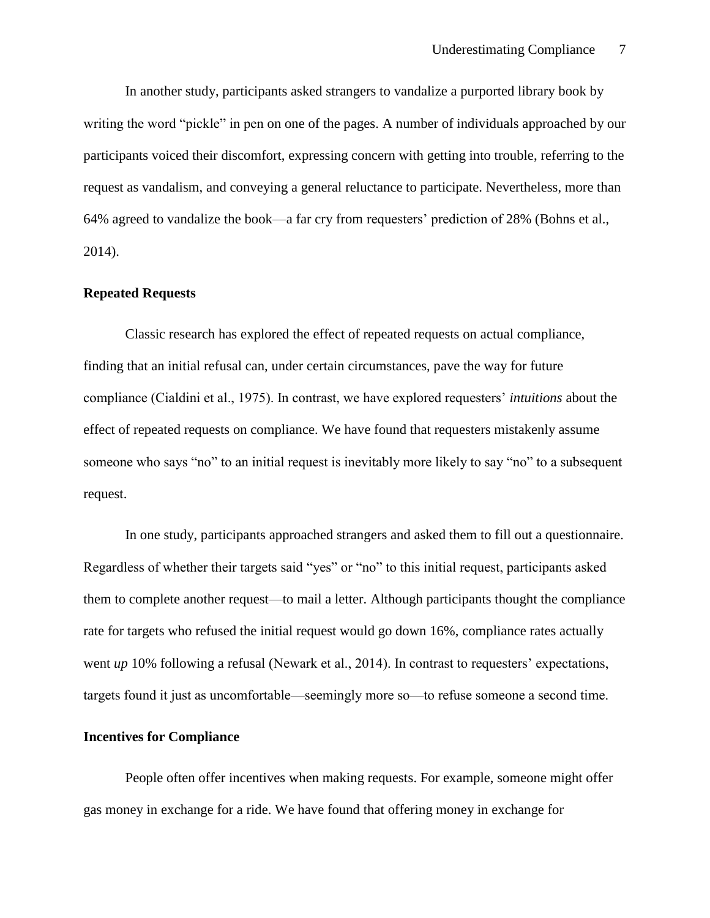In another study, participants asked strangers to vandalize a purported library book by writing the word "pickle" in pen on one of the pages. A number of individuals approached by our participants voiced their discomfort, expressing concern with getting into trouble, referring to the request as vandalism, and conveying a general reluctance to participate. Nevertheless, more than 64% agreed to vandalize the book—a far cry from requesters' prediction of 28% (Bohns et al., 2014).

#### **Repeated Requests**

Classic research has explored the effect of repeated requests on actual compliance, finding that an initial refusal can, under certain circumstances, pave the way for future compliance (Cialdini et al., 1975). In contrast, we have explored requesters' *intuitions* about the effect of repeated requests on compliance. We have found that requesters mistakenly assume someone who says "no" to an initial request is inevitably more likely to say "no" to a subsequent request.

In one study, participants approached strangers and asked them to fill out a questionnaire. Regardless of whether their targets said "yes" or "no" to this initial request, participants asked them to complete another request—to mail a letter. Although participants thought the compliance rate for targets who refused the initial request would go down 16%, compliance rates actually went *up* 10% following a refusal (Newark et al., 2014). In contrast to requesters' expectations, targets found it just as uncomfortable—seemingly more so—to refuse someone a second time.

#### **Incentives for Compliance**

People often offer incentives when making requests. For example, someone might offer gas money in exchange for a ride. We have found that offering money in exchange for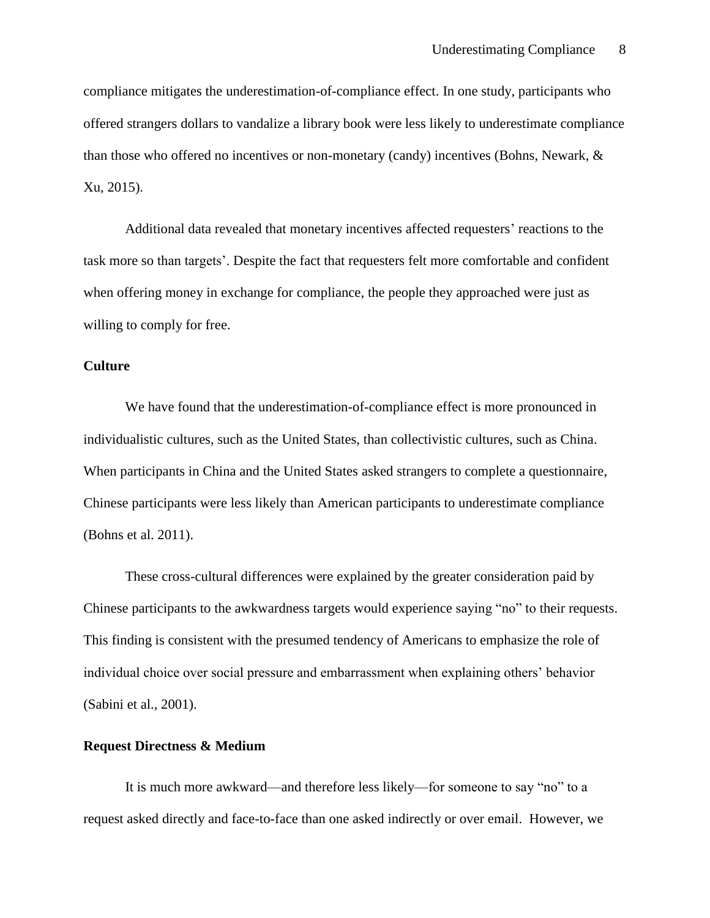compliance mitigates the underestimation-of-compliance effect. In one study, participants who offered strangers dollars to vandalize a library book were less likely to underestimate compliance than those who offered no incentives or non-monetary (candy) incentives (Bohns, Newark, & Xu, 2015).

Additional data revealed that monetary incentives affected requesters' reactions to the task more so than targets'. Despite the fact that requesters felt more comfortable and confident when offering money in exchange for compliance, the people they approached were just as willing to comply for free.

# **Culture**

We have found that the underestimation-of-compliance effect is more pronounced in individualistic cultures, such as the United States, than collectivistic cultures, such as China. When participants in China and the United States asked strangers to complete a questionnaire, Chinese participants were less likely than American participants to underestimate compliance (Bohns et al. 2011).

These cross-cultural differences were explained by the greater consideration paid by Chinese participants to the awkwardness targets would experience saying "no" to their requests. This finding is consistent with the presumed tendency of Americans to emphasize the role of individual choice over social pressure and embarrassment when explaining others' behavior (Sabini et al., 2001).

# **Request Directness & Medium**

It is much more awkward—and therefore less likely—for someone to say "no" to a request asked directly and face-to-face than one asked indirectly or over email. However, we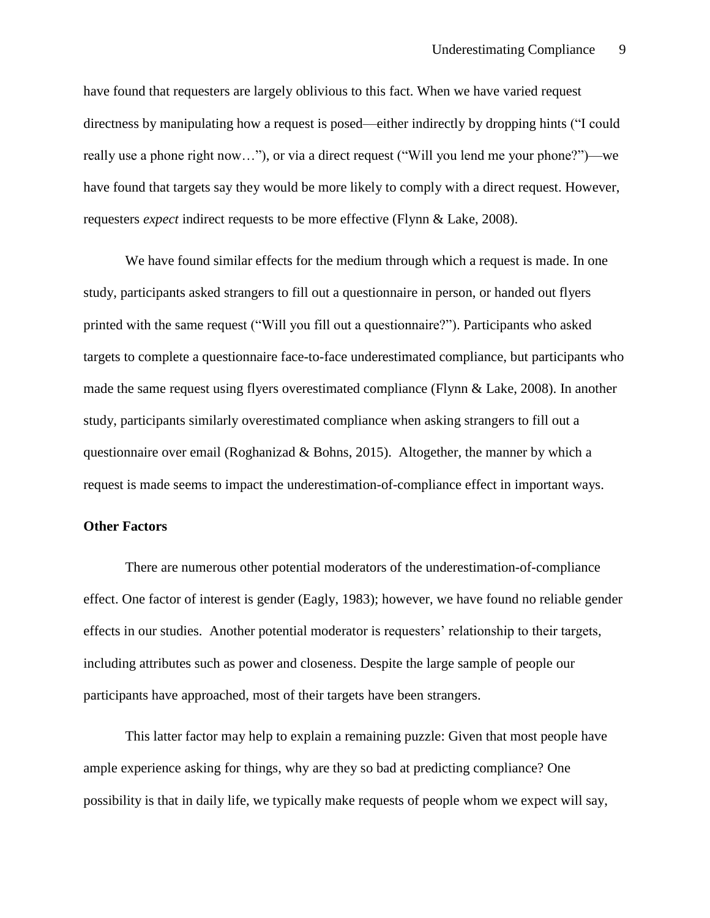have found that requesters are largely oblivious to this fact. When we have varied request directness by manipulating how a request is posed—either indirectly by dropping hints ("I could really use a phone right now…"), or via a direct request ("Will you lend me your phone?")—we have found that targets say they would be more likely to comply with a direct request. However, requesters *expect* indirect requests to be more effective (Flynn & Lake, 2008).

We have found similar effects for the medium through which a request is made. In one study, participants asked strangers to fill out a questionnaire in person, or handed out flyers printed with the same request ("Will you fill out a questionnaire?"). Participants who asked targets to complete a questionnaire face-to-face underestimated compliance, but participants who made the same request using flyers overestimated compliance (Flynn & Lake, 2008). In another study, participants similarly overestimated compliance when asking strangers to fill out a questionnaire over email (Roghanizad & Bohns, 2015). Altogether, the manner by which a request is made seems to impact the underestimation-of-compliance effect in important ways.

#### **Other Factors**

There are numerous other potential moderators of the underestimation-of-compliance effect. One factor of interest is gender (Eagly, 1983); however, we have found no reliable gender effects in our studies. Another potential moderator is requesters' relationship to their targets, including attributes such as power and closeness. Despite the large sample of people our participants have approached, most of their targets have been strangers.

This latter factor may help to explain a remaining puzzle: Given that most people have ample experience asking for things, why are they so bad at predicting compliance? One possibility is that in daily life, we typically make requests of people whom we expect will say,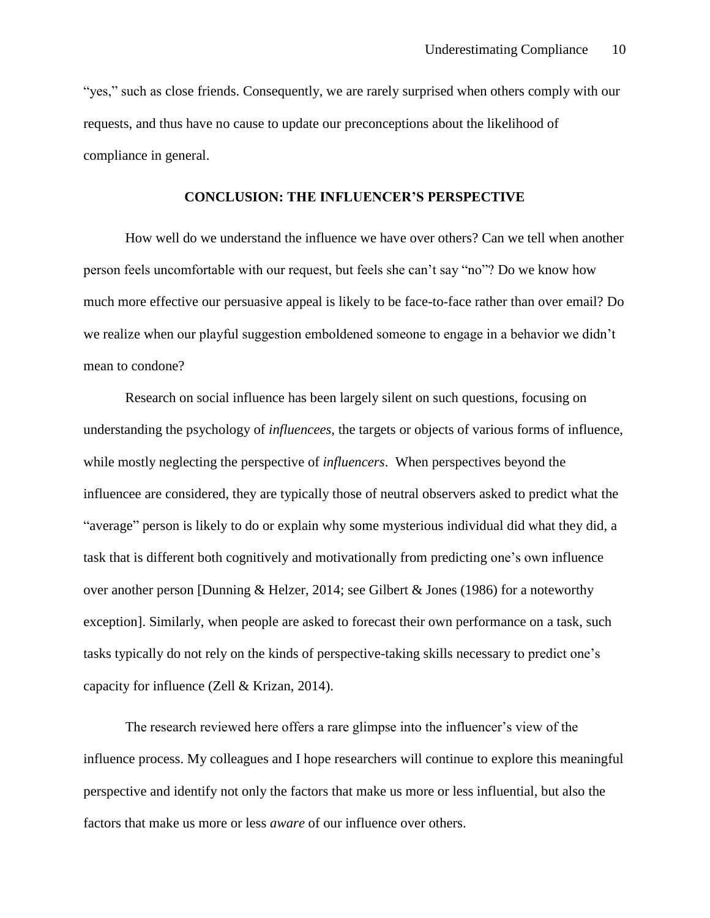"yes," such as close friends. Consequently, we are rarely surprised when others comply with our requests, and thus have no cause to update our preconceptions about the likelihood of compliance in general.

#### **CONCLUSION: THE INFLUENCER'S PERSPECTIVE**

How well do we understand the influence we have over others? Can we tell when another person feels uncomfortable with our request, but feels she can't say "no"? Do we know how much more effective our persuasive appeal is likely to be face-to-face rather than over email? Do we realize when our playful suggestion emboldened someone to engage in a behavior we didn't mean to condone?

Research on social influence has been largely silent on such questions, focusing on understanding the psychology of *influencees*, the targets or objects of various forms of influence, while mostly neglecting the perspective of *influencers*. When perspectives beyond the influencee are considered, they are typically those of neutral observers asked to predict what the "average" person is likely to do or explain why some mysterious individual did what they did, a task that is different both cognitively and motivationally from predicting one's own influence over another person [Dunning & Helzer, 2014; see Gilbert & Jones (1986) for a noteworthy exception]. Similarly, when people are asked to forecast their own performance on a task, such tasks typically do not rely on the kinds of perspective-taking skills necessary to predict one's capacity for influence (Zell & Krizan, 2014).

The research reviewed here offers a rare glimpse into the influencer's view of the influence process. My colleagues and I hope researchers will continue to explore this meaningful perspective and identify not only the factors that make us more or less influential, but also the factors that make us more or less *aware* of our influence over others.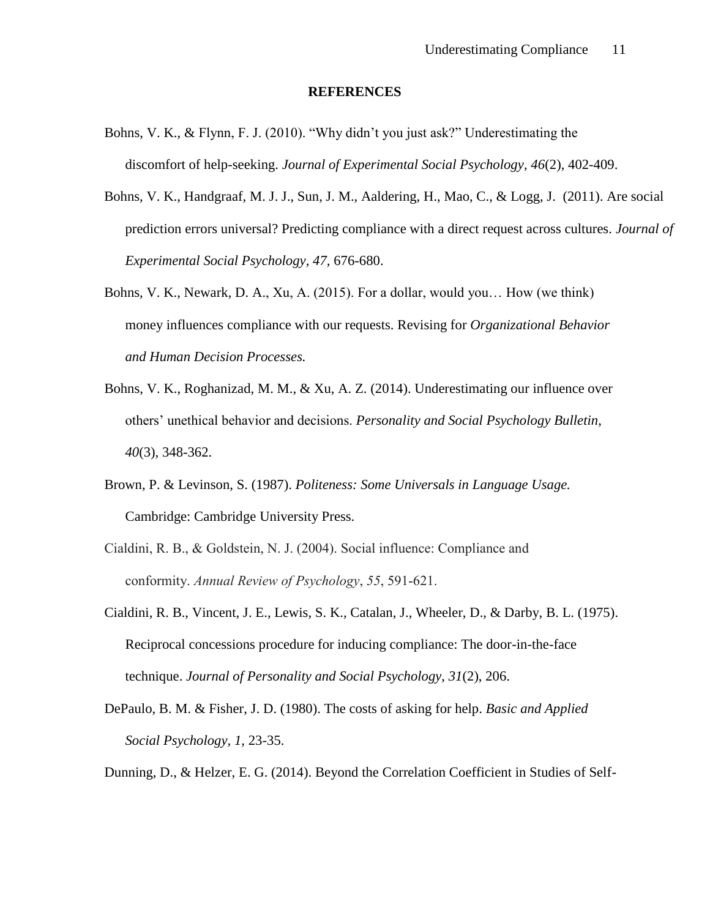#### **REFERENCES**

- Bohns, V. K., & Flynn, F. J. (2010). "Why didn't you just ask?" Underestimating the discomfort of help-seeking. *Journal of Experimental Social Psychology*, *46*(2), 402-409.
- Bohns, V. K., Handgraaf, M. J. J., Sun, J. M., Aaldering, H., Mao, C., & Logg, J. (2011). Are social prediction errors universal? Predicting compliance with a direct request across cultures. *Journal of Experimental Social Psychology, 47,* 676-680.
- Bohns, V. K., Newark, D. A., Xu, A. (2015). For a dollar, would you… How (we think) money influences compliance with our requests. Revising for *Organizational Behavior and Human Decision Processes.*
- Bohns, V. K., Roghanizad, M. M., & Xu, A. Z. (2014). Underestimating our influence over others' unethical behavior and decisions. *Personality and Social Psychology Bulletin*, *40*(3), 348-362.
- Brown, P. & Levinson, S. (1987). *Politeness: Some Universals in Language Usage.* Cambridge: Cambridge University Press.
- Cialdini, R. B., & Goldstein, N. J. (2004). Social influence: Compliance and conformity. *Annual Review of Psychology*, *55*, 591-621.
- Cialdini, R. B., Vincent, J. E., Lewis, S. K., Catalan, J., Wheeler, D., & Darby, B. L. (1975). Reciprocal concessions procedure for inducing compliance: The door-in-the-face technique. *Journal of Personality and Social Psychology*, *31*(2), 206.
- DePaulo, B. M. & Fisher, J. D. (1980). The costs of asking for help. *Basic and Applied Social Psychology, 1,* 23-35.

Dunning, D., & Helzer, E. G. (2014). Beyond the Correlation Coefficient in Studies of Self-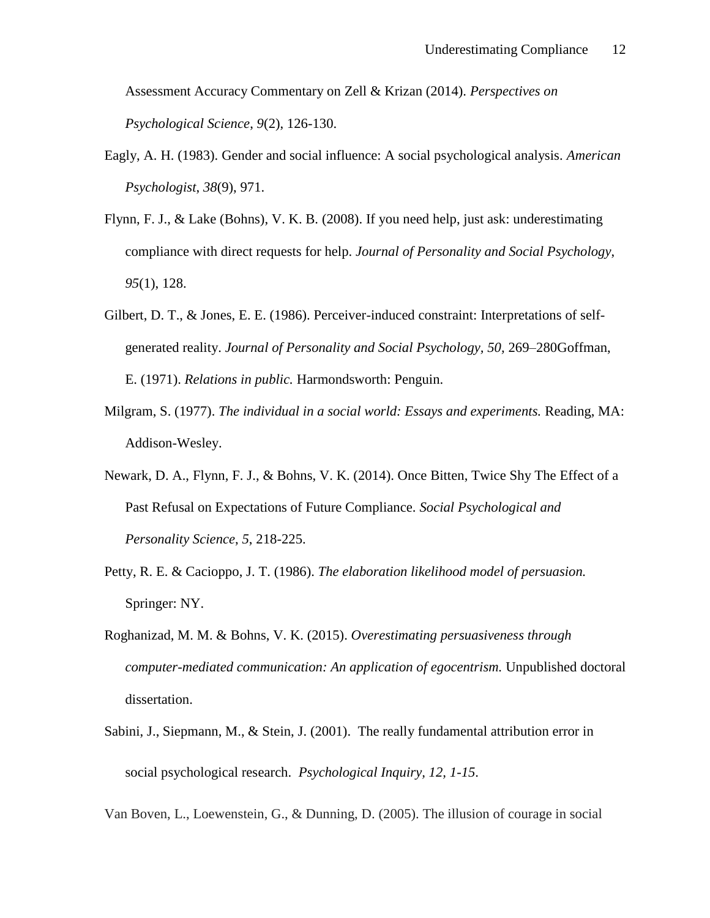Assessment Accuracy Commentary on Zell & Krizan (2014). *Perspectives on Psychological Science*, *9*(2), 126-130.

- Eagly, A. H. (1983). Gender and social influence: A social psychological analysis. *American Psychologist*, *38*(9), 971.
- Flynn, F. J., & Lake (Bohns), V. K. B. (2008). If you need help, just ask: underestimating compliance with direct requests for help. *Journal of Personality and Social Psychology*, *95*(1), 128.
- Gilbert, D. T., & Jones, E. E. (1986). Perceiver-induced constraint: Interpretations of selfgenerated reality. *Journal of Personality and Social Psychology, 50,* 269–280Goffman, E. (1971). *Relations in public.* Harmondsworth: Penguin.
- Milgram, S. (1977). *The individual in a social world: Essays and experiments.* Reading, MA: Addison-Wesley.
- Newark, D. A., Flynn, F. J., & Bohns, V. K. (2014). Once Bitten, Twice Shy The Effect of a Past Refusal on Expectations of Future Compliance. *Social Psychological and Personality Science*, *5*, 218-225.
- Petty, R. E. & Cacioppo, J. T. (1986). *The elaboration likelihood model of persuasion.* Springer: NY.
- Roghanizad, M. M. & Bohns, V. K. (2015). *Overestimating persuasiveness through computer-mediated communication: An application of egocentrism.* Unpublished doctoral dissertation.
- Sabini, J., Siepmann, M., & Stein, J. (2001). The really fundamental attribution error in social psychological research. *Psychological Inquiry, 12, 1-15*.

Van Boven, L., Loewenstein, G., & Dunning, D. (2005). The illusion of courage in social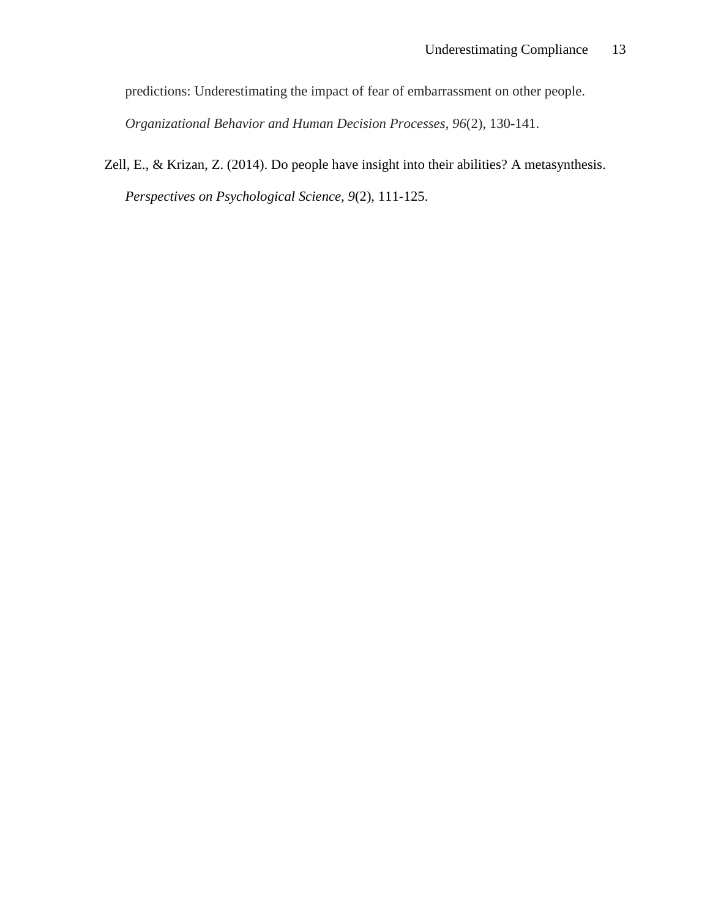predictions: Underestimating the impact of fear of embarrassment on other people.

*Organizational Behavior and Human Decision Processes*, *96*(2), 130-141.

Zell, E., & Krizan, Z. (2014). Do people have insight into their abilities? A metasynthesis. *Perspectives on Psychological Science*, *9*(2), 111-125.